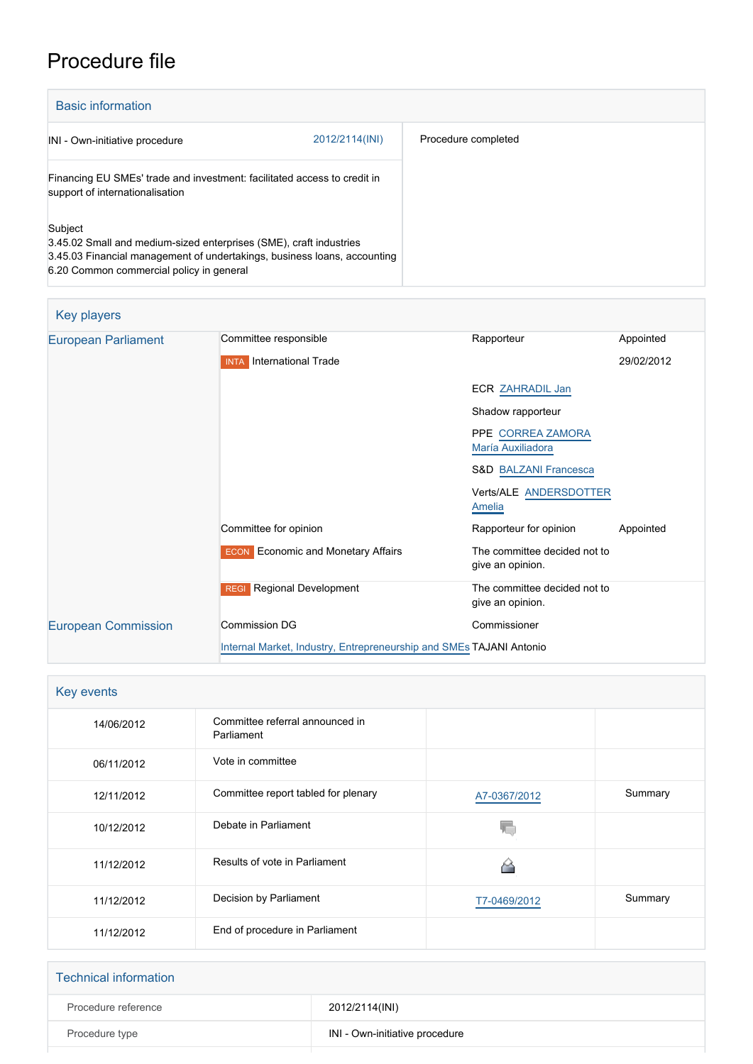## Procedure file

| <b>Basic information</b>                                                                                                                                                                              |                |                     |
|-------------------------------------------------------------------------------------------------------------------------------------------------------------------------------------------------------|----------------|---------------------|
| INI - Own-initiative procedure                                                                                                                                                                        | 2012/2114(INI) | Procedure completed |
| Financing EU SMEs' trade and investment: facilitated access to credit in<br>support of internationalisation                                                                                           |                |                     |
| Subject<br>3.45.02 Small and medium-sized enterprises (SME), craft industries<br>3.45.03 Financial management of undertakings, business loans, accounting<br>6.20 Common commercial policy in general |                |                     |

## Key players

| <b>European Parliament</b> | Committee responsible                                               | Rapporteur                                       | Appointed  |
|----------------------------|---------------------------------------------------------------------|--------------------------------------------------|------------|
|                            | <b>INTA</b> International Trade                                     |                                                  | 29/02/2012 |
|                            |                                                                     | <b>ECR ZAHRADIL Jan</b>                          |            |
|                            |                                                                     | Shadow rapporteur                                |            |
|                            |                                                                     | PPE CORREA ZAMORA<br>María Auxiliadora           |            |
|                            |                                                                     | <b>S&amp;D BALZANI Francesca</b>                 |            |
|                            |                                                                     | Verts/ALE ANDERSDOTTER<br>Amelia                 |            |
|                            | Committee for opinion                                               | Rapporteur for opinion                           | Appointed  |
|                            | <b>ECON</b> Economic and Monetary Affairs                           | The committee decided not to<br>give an opinion. |            |
|                            | <b>Regional Development</b><br><b>REGI</b>                          | The committee decided not to<br>give an opinion. |            |
| <b>European Commission</b> | Commission DG                                                       | Commissioner                                     |            |
|                            | Internal Market, Industry, Entrepreneurship and SMEs TAJANI Antonio |                                                  |            |

| Key events |                                               |              |         |
|------------|-----------------------------------------------|--------------|---------|
| 14/06/2012 | Committee referral announced in<br>Parliament |              |         |
| 06/11/2012 | Vote in committee                             |              |         |
| 12/11/2012 | Committee report tabled for plenary           | A7-0367/2012 | Summary |
| 10/12/2012 | Debate in Parliament                          |              |         |
| 11/12/2012 | Results of vote in Parliament                 |              |         |
| 11/12/2012 | Decision by Parliament                        | T7-0469/2012 | Summary |
| 11/12/2012 | End of procedure in Parliament                |              |         |

| <b>Technical information</b> |                                |
|------------------------------|--------------------------------|
| Procedure reference          | 2012/2114(INI)                 |
| Procedure type               | INI - Own-initiative procedure |
|                              |                                |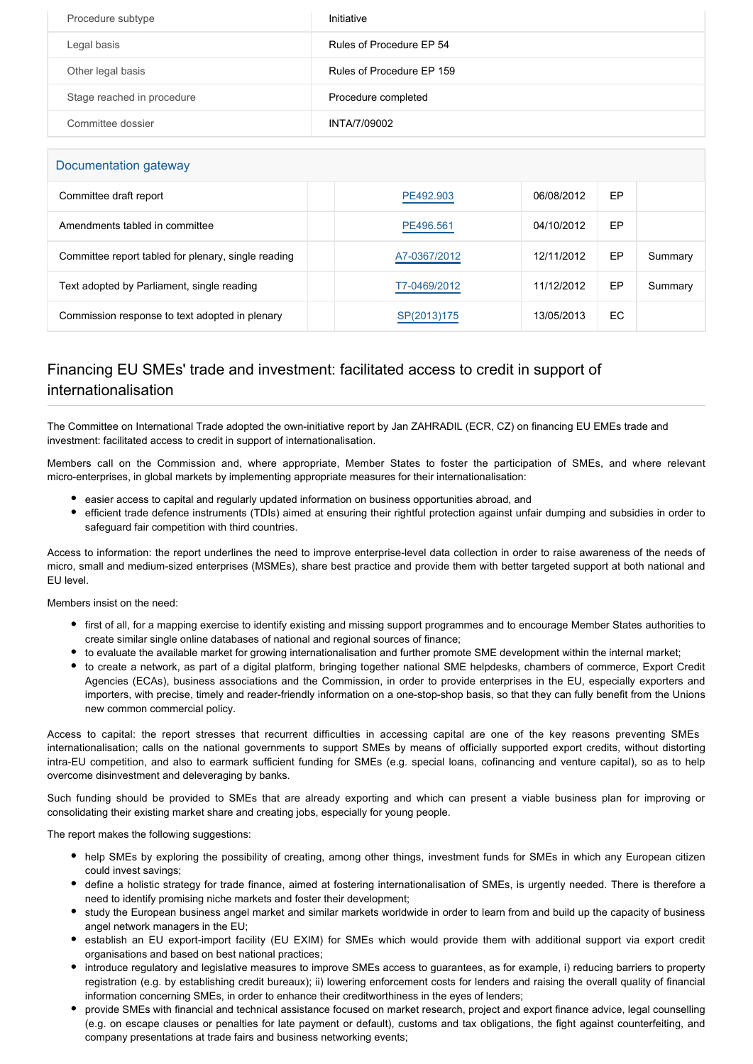| Procedure subtype          | Initiative                |
|----------------------------|---------------------------|
| Legal basis                | Rules of Procedure EP 54  |
| Other legal basis          | Rules of Procedure EP 159 |
| Stage reached in procedure | Procedure completed       |
| Committee dossier          | INTA/7/09002              |

| Documentation gateway                               |              |            |    |         |
|-----------------------------------------------------|--------------|------------|----|---------|
| Committee draft report                              | PE492.903    | 06/08/2012 | EP |         |
| Amendments tabled in committee                      | PE496.561    | 04/10/2012 | EP |         |
| Committee report tabled for plenary, single reading | A7-0367/2012 | 12/11/2012 | EP | Summary |
| Text adopted by Parliament, single reading          | T7-0469/2012 | 11/12/2012 | EP | Summary |
| Commission response to text adopted in plenary      | SP(2013)175  | 13/05/2013 | EC |         |

## Financing EU SMEs' trade and investment: facilitated access to credit in support of internationalisation

The Committee on International Trade adopted the own-initiative report by Jan ZAHRADIL (ECR, CZ) on financing EU EMEs trade and investment: facilitated access to credit in support of internationalisation.

Members call on the Commission and, where appropriate, Member States to foster the participation of SMEs, and where relevant micro-enterprises, in global markets by implementing appropriate measures for their internationalisation:

- easier access to capital and regularly updated information on business opportunities abroad, and
- efficient trade defence instruments (TDIs) aimed at ensuring their rightful protection against unfair dumping and subsidies in order to safeguard fair competition with third countries.

Access to information: the report underlines the need to improve enterprise-level data collection in order to raise awareness of the needs of micro, small and medium-sized enterprises (MSMEs), share best practice and provide them with better targeted support at both national and EU level.

Members insist on the need:

- first of all, for a mapping exercise to identify existing and missing support programmes and to encourage Member States authorities to create similar single online databases of national and regional sources of finance;
- to evaluate the available market for growing internationalisation and further promote SME development within the internal market;
- to create a network, as part of a digital platform, bringing together national SME helpdesks, chambers of commerce, Export Credit Agencies (ECAs), business associations and the Commission, in order to provide enterprises in the EU, especially exporters and importers, with precise, timely and reader-friendly information on a one-stop-shop basis, so that they can fully benefit from the Unions new common commercial policy.

Access to capital: the report stresses that recurrent difficulties in accessing capital are one of the key reasons preventing SMEs internationalisation; calls on the national governments to support SMEs by means of officially supported export credits, without distorting intra-EU competition, and also to earmark sufficient funding for SMEs (e.g. special loans, cofinancing and venture capital), so as to help overcome disinvestment and deleveraging by banks.

Such funding should be provided to SMEs that are already exporting and which can present a viable business plan for improving or consolidating their existing market share and creating jobs, especially for young people.

The report makes the following suggestions:

- help SMEs by exploring the possibility of creating, among other things, investment funds for SMEs in which any European citizen could invest savings;
- define a holistic strategy for trade finance, aimed at fostering internationalisation of SMEs, is urgently needed. There is therefore a need to identify promising niche markets and foster their development;
- study the European business angel market and similar markets worldwide in order to learn from and build up the capacity of business angel network managers in the EU;
- establish an EU export-import facility (EU EXIM) for SMEs which would provide them with additional support via export credit organisations and based on best national practices;
- introduce regulatory and legislative measures to improve SMEs access to guarantees, as for example, i) reducing barriers to property registration (e.g. by establishing credit bureaux); ii) lowering enforcement costs for lenders and raising the overall quality of financial information concerning SMEs, in order to enhance their creditworthiness in the eyes of lenders;
- provide SMEs with financial and technical assistance focused on market research, project and export finance advice, legal counselling (e.g. on escape clauses or penalties for late payment or default), customs and tax obligations, the fight against counterfeiting, and company presentations at trade fairs and business networking events;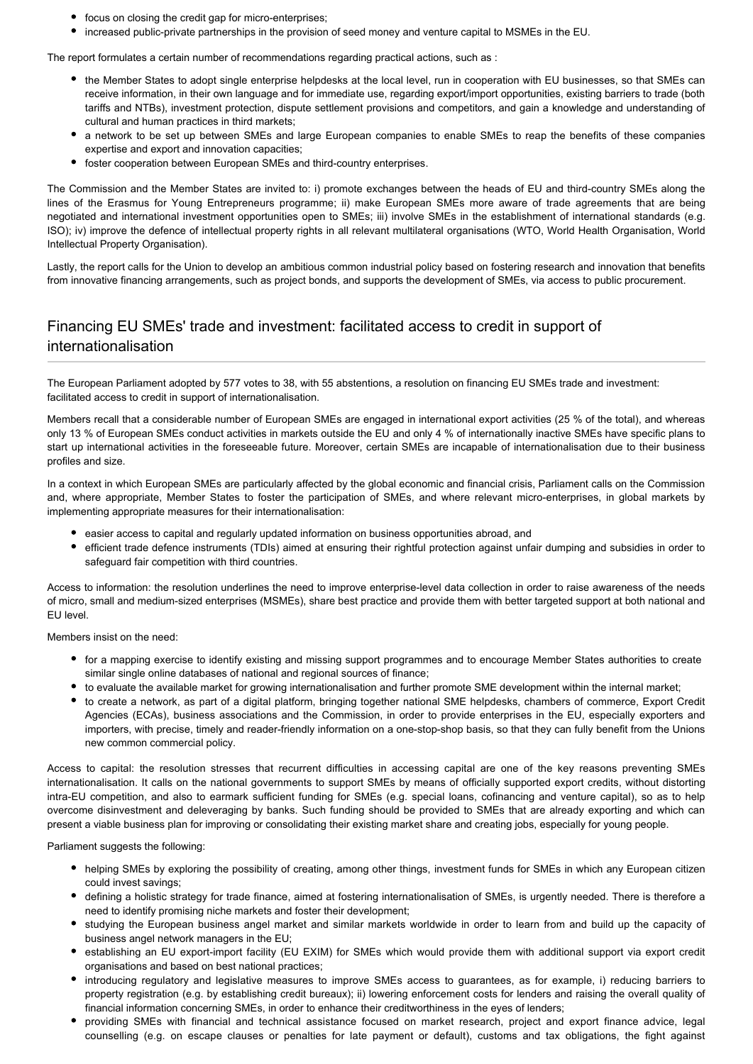- focus on closing the credit gap for micro-enterprises;
- increased public-private partnerships in the provision of seed money and venture capital to MSMEs in the EU.

The report formulates a certain number of recommendations regarding practical actions, such as :

- the Member States to adopt single enterprise helpdesks at the local level, run in cooperation with EU businesses, so that SMEs can receive information, in their own language and for immediate use, regarding export/import opportunities, existing barriers to trade (both tariffs and NTBs), investment protection, dispute settlement provisions and competitors, and gain a knowledge and understanding of cultural and human practices in third markets;
- a network to be set up between SMEs and large European companies to enable SMEs to reap the benefits of these companies expertise and export and innovation capacities;
- foster cooperation between European SMEs and third-country enterprises.

The Commission and the Member States are invited to: i) promote exchanges between the heads of EU and third-country SMEs along the lines of the Erasmus for Young Entrepreneurs programme; ii) make European SMEs more aware of trade agreements that are being negotiated and international investment opportunities open to SMEs; iii) involve SMEs in the establishment of international standards (e.g. ISO); iv) improve the defence of intellectual property rights in all relevant multilateral organisations (WTO, World Health Organisation, World Intellectual Property Organisation).

Lastly, the report calls for the Union to develop an ambitious common industrial policy based on fostering research and innovation that benefits from innovative financing arrangements, such as project bonds, and supports the development of SMEs, via access to public procurement.

## Financing EU SMEs' trade and investment: facilitated access to credit in support of internationalisation

The European Parliament adopted by 577 votes to 38, with 55 abstentions, a resolution on financing EU SMEs trade and investment: facilitated access to credit in support of internationalisation.

Members recall that a considerable number of European SMEs are engaged in international export activities (25 % of the total), and whereas only 13 % of European SMEs conduct activities in markets outside the EU and only 4 % of internationally inactive SMEs have specific plans to start up international activities in the foreseeable future. Moreover, certain SMEs are incapable of internationalisation due to their business profiles and size.

In a context in which European SMEs are particularly affected by the global economic and financial crisis, Parliament calls on the Commission and, where appropriate, Member States to foster the participation of SMEs, and where relevant micro-enterprises, in global markets by implementing appropriate measures for their internationalisation:

- easier access to capital and regularly updated information on business opportunities abroad, and
- efficient trade defence instruments (TDIs) aimed at ensuring their rightful protection against unfair dumping and subsidies in order to safeguard fair competition with third countries.

Access to information: the resolution underlines the need to improve enterprise-level data collection in order to raise awareness of the needs of micro, small and medium-sized enterprises (MSMEs), share best practice and provide them with better targeted support at both national and EU level.

Members insist on the need:

- for a mapping exercise to identify existing and missing support programmes and to encourage Member States authorities to create similar single online databases of national and regional sources of finance;
- to evaluate the available market for growing internationalisation and further promote SME development within the internal market;
- to create a network, as part of a digital platform, bringing together national SME helpdesks, chambers of commerce, Export Credit Agencies (ECAs), business associations and the Commission, in order to provide enterprises in the EU, especially exporters and importers, with precise, timely and reader-friendly information on a one-stop-shop basis, so that they can fully benefit from the Unions new common commercial policy.

Access to capital: the resolution stresses that recurrent difficulties in accessing capital are one of the key reasons preventing SMEs internationalisation. It calls on the national governments to support SMEs by means of officially supported export credits, without distorting intra-EU competition, and also to earmark sufficient funding for SMEs (e.g. special loans, cofinancing and venture capital), so as to help overcome disinvestment and deleveraging by banks. Such funding should be provided to SMEs that are already exporting and which can present a viable business plan for improving or consolidating their existing market share and creating jobs, especially for young people.

Parliament suggests the following:

- helping SMEs by exploring the possibility of creating, among other things, investment funds for SMEs in which any European citizen could invest savings;
- defining a holistic strategy for trade finance, aimed at fostering internationalisation of SMEs, is urgently needed. There is therefore a need to identify promising niche markets and foster their development;
- studying the European business angel market and similar markets worldwide in order to learn from and build up the capacity of business angel network managers in the EU;
- establishing an EU export-import facility (EU EXIM) for SMEs which would provide them with additional support via export credit organisations and based on best national practices;
- introducing regulatory and legislative measures to improve SMEs access to guarantees, as for example, i) reducing barriers to property registration (e.g. by establishing credit bureaux); ii) lowering enforcement costs for lenders and raising the overall quality of financial information concerning SMEs, in order to enhance their creditworthiness in the eyes of lenders;
- providing SMEs with financial and technical assistance focused on market research, project and export finance advice, legal counselling (e.g. on escape clauses or penalties for late payment or default), customs and tax obligations, the fight against